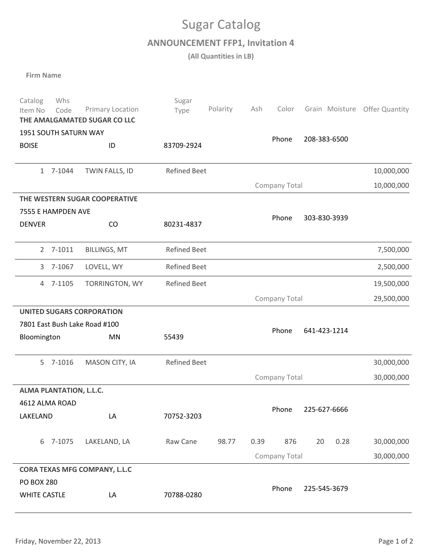## Sugar Catalog

**ANNOUNCEMENT FFP1, Invitation 4**

**(All Quantities in LB)**

**Firm Name**

| Whs<br>Catalog<br>Code<br>Item No<br>THE AMALGAMATED SUGAR CO LLC | Primary Location    | Sugar<br>Type       | Polarity | Ash           | Color         | Grain Moisture | <b>Offer Quantity</b> |  |  |
|-------------------------------------------------------------------|---------------------|---------------------|----------|---------------|---------------|----------------|-----------------------|--|--|
| 1951 SOUTH SATURN WAY                                             |                     |                     | Phone    |               | 208-383-6500  |                |                       |  |  |
| <b>BOISE</b>                                                      | ID                  | 83709-2924          |          |               |               |                |                       |  |  |
|                                                                   |                     |                     |          |               |               |                |                       |  |  |
| 1 7-1044                                                          | TWIN FALLS, ID      | <b>Refined Beet</b> |          |               |               | 10,000,000     |                       |  |  |
|                                                                   |                     | Company Total       |          |               |               | 10,000,000     |                       |  |  |
| THE WESTERN SUGAR COOPERATIVE                                     |                     |                     |          |               |               |                |                       |  |  |
| 7555 E HAMPDEN AVE                                                |                     |                     |          | Phone         |               |                |                       |  |  |
| <b>DENVER</b>                                                     | CO                  | 80231-4837          |          |               |               | 303-830-3939   |                       |  |  |
| 2 7-1011                                                          | <b>BILLINGS, MT</b> | <b>Refined Beet</b> |          |               |               |                | 7,500,000             |  |  |
| 3 7-1067                                                          | LOVELL, WY          | <b>Refined Beet</b> |          |               |               |                | 2,500,000             |  |  |
| 4 7-1105                                                          | TORRINGTON, WY      | <b>Refined Beet</b> |          |               |               |                | 19,500,000            |  |  |
|                                                                   |                     |                     |          |               | Company Total |                | 29,500,000            |  |  |
| <b>UNITED SUGARS CORPORATION</b>                                  |                     |                     |          |               |               |                |                       |  |  |
| 7801 East Bush Lake Road #100                                     |                     |                     |          |               | Phone         | 641-423-1214   |                       |  |  |
| Bloomington                                                       | <b>MN</b>           | 55439               |          |               |               |                |                       |  |  |
| 5 7-1016                                                          | MASON CITY, IA      | <b>Refined Beet</b> |          |               |               |                | 30,000,000            |  |  |
|                                                                   |                     | Company Total       |          |               |               | 30,000,000     |                       |  |  |
| ALMA PLANTATION, L.L.C.                                           |                     |                     |          |               |               |                |                       |  |  |
| 4612 ALMA ROAD                                                    |                     |                     |          |               | Phone         | 225-627-6666   |                       |  |  |
| LAKELAND                                                          | LA                  | 70752-3203          |          |               |               |                |                       |  |  |
|                                                                   |                     |                     |          |               |               |                |                       |  |  |
| 6 7-1075                                                          | LAKELAND, LA        | Raw Cane            | 98.77    | 0.39          | 876           | 0.28<br>20     | 30,000,000            |  |  |
|                                                                   |                     |                     |          | Company Total | 30,000,000    |                |                       |  |  |
| <b>CORA TEXAS MFG COMPANY, L.L.C</b>                              |                     |                     |          |               |               |                |                       |  |  |
| <b>PO BOX 280</b><br><b>WHITE CASTLE</b>                          | LA                  | 70788-0280          |          |               | Phone         | 225-545-3679   |                       |  |  |
|                                                                   |                     |                     |          |               |               |                |                       |  |  |